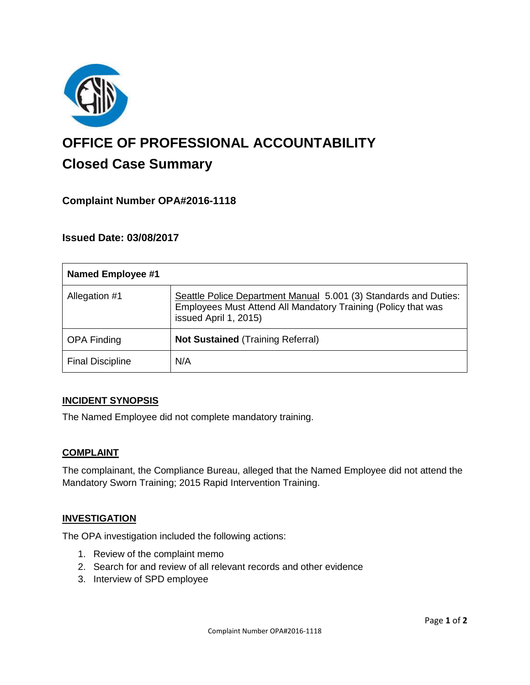

# **OFFICE OF PROFESSIONAL ACCOUNTABILITY Closed Case Summary**

# **Complaint Number OPA#2016-1118**

## **Issued Date: 03/08/2017**

| <b>Named Employee #1</b> |                                                                                                                                                            |
|--------------------------|------------------------------------------------------------------------------------------------------------------------------------------------------------|
| Allegation #1            | Seattle Police Department Manual 5.001 (3) Standards and Duties:<br>Employees Must Attend All Mandatory Training (Policy that was<br>issued April 1, 2015) |
| <b>OPA Finding</b>       | <b>Not Sustained (Training Referral)</b>                                                                                                                   |
| <b>Final Discipline</b>  | N/A                                                                                                                                                        |

#### **INCIDENT SYNOPSIS**

The Named Employee did not complete mandatory training.

#### **COMPLAINT**

The complainant, the Compliance Bureau, alleged that the Named Employee did not attend the Mandatory Sworn Training; 2015 Rapid Intervention Training.

#### **INVESTIGATION**

The OPA investigation included the following actions:

- 1. Review of the complaint memo
- 2. Search for and review of all relevant records and other evidence
- 3. Interview of SPD employee